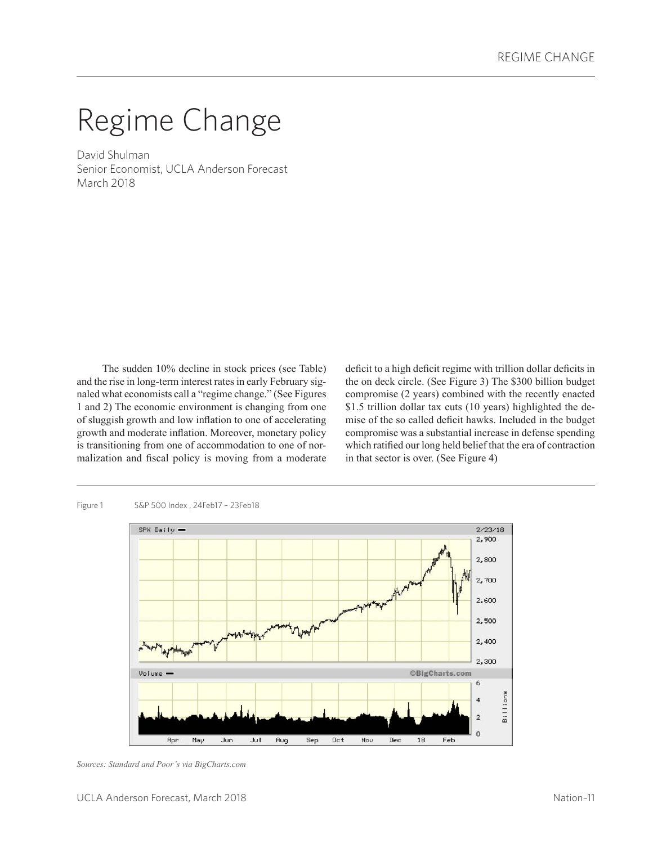# Regime Change

David Shulman Senior Economist, UCLA Anderson Forecast March 2018

The sudden 10% decline in stock prices (see Table) and the rise in long-term interest rates in early February signaled what economists call a "regime change." (See Figures 1 and 2) The economic environment is changing from one of sluggish growth and low inflation to one of accelerating growth and moderate inflation. Moreover, monetary policy is transitioning from one of accommodation to one of normalization and fiscal policy is moving from a moderate deficit to a high deficit regime with trillion dollar deficits in the on deck circle. (See Figure 3) The \$300 billion budget compromise (2 years) combined with the recently enacted \$1.5 trillion dollar tax cuts (10 years) highlighted the demise of the so called deficit hawks. Included in the budget compromise was a substantial increase in defense spending which ratified our long held belief that the era of contraction in that sector is over. (See Figure 4)



#### Figure 1 S&P 500 Index , 24Feb17 – 23Feb18

*Sources: Standard and Poor's via BigCharts.com*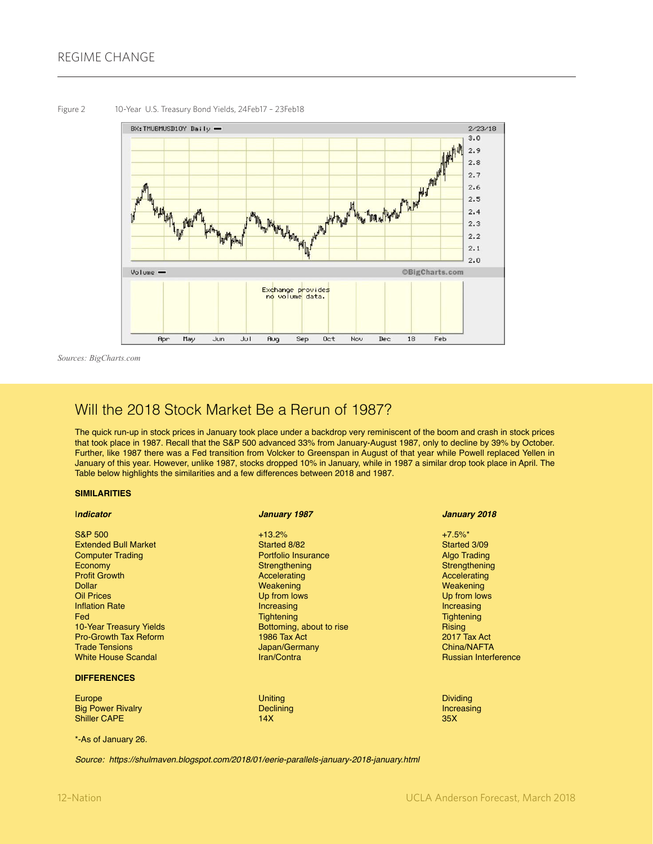

*Sources: BigCharts.com*

## Will the 2018 Stock Market Be a Rerun of 1987?

The quick run-up in stock prices in January took place under a backdrop very reminiscent of the boom and crash in stock prices that took place in 1987. Recall that the S&P 500 advanced 33% from January-August 1987, only to decline by 39% by October. Further, like 1987 there was a Fed transition from Volcker to Greenspan in August of that year while Powell replaced Yellen in January of this year. However, unlike 1987, stocks dropped 10% in January, while in 1987 a similar drop took place in April. The Table below highlights the similarities and a few differences between 2018 and 1987.

#### **SIMILARITIES**

| Indicator                      | January 1987             | January 2018                |
|--------------------------------|--------------------------|-----------------------------|
| <b>S&amp;P 500</b>             | $+13.2%$                 | $+7.5\%$ *                  |
| <b>Extended Bull Market</b>    | Started 8/82             | Started 3/09                |
| <b>Computer Trading</b>        | Portfolio Insurance      | <b>Algo Trading</b>         |
| Economy                        | Strengthening            | Strengthening               |
| <b>Profit Growth</b>           | Accelerating             | Accelerating                |
| <b>Dollar</b>                  | Weakening                | Weakening                   |
| <b>Oil Prices</b>              | Up from lows             | Up from lows                |
| <b>Inflation Rate</b>          | Increasing               | Increasing                  |
| <b>Fed</b>                     | <b>Tightening</b>        | <b>Tightening</b>           |
| <b>10 Year Treasury Yields</b> | Bottoming, about to rise | Rising                      |
| <b>Pro-Growth Tax Reform</b>   | 1986 Tax Act             | 2017 Tax Act                |
| <b>Trade Tensions</b>          | Japan/Germany            | China/NAFTA                 |
| <b>White House Scandal</b>     | Iran/Contra              | <b>Russian Interference</b> |
| <b>DIFFERENCES</b>             |                          |                             |
| Europe                         | <b>Uniting</b>           | <b>Dividing</b>             |
| <b>Big Power Rivalry</b>       | Declining                | Increasing                  |
| <b>Shiller CAPE</b>            | 14X                      | 35X                         |

\*-As of January 26.

Shiller CAPE

*Source: https://shulmaven.blogspot.com/2018/01/eerie-parallels-january-2018-january.html*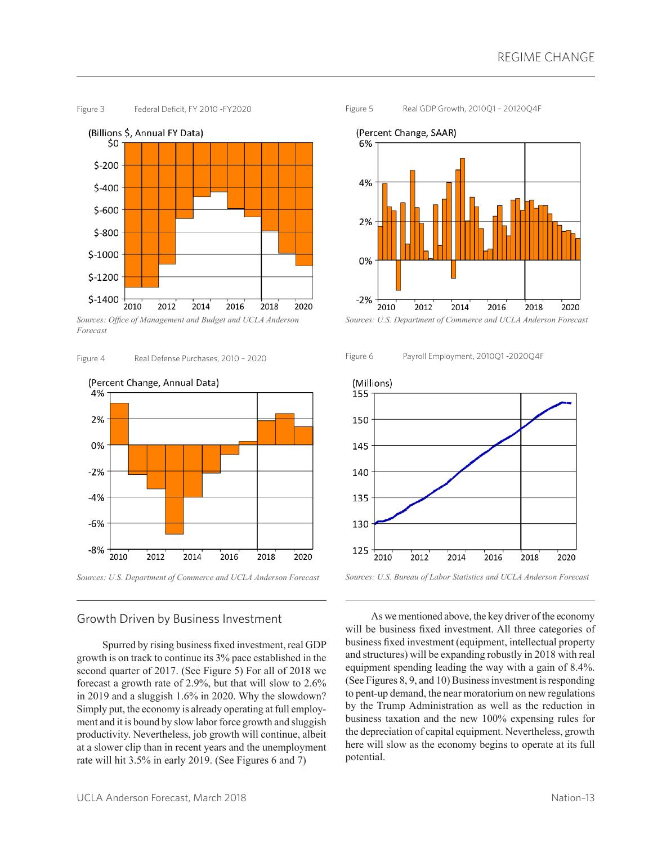

*Sources: Office of Management and Budget and UCLA Anderson Forecast*





*Sources: U.S. Department of Commerce and UCLA Anderson Forecast*

### Growth Driven by Business Investment

Spurred by rising business fixed investment, real GDP growth is on track to continue its 3% pace established in the second quarter of 2017. (See Figure 5) For all of 2018 we forecast a growth rate of 2.9%, but that will slow to 2.6% in 2019 and a sluggish 1.6% in 2020. Why the slowdown? Simply put, the economy is already operating at full employment and it is bound by slow labor force growth and sluggish productivity. Nevertheless, job growth will continue, albeit at a slower clip than in recent years and the unemployment rate will hit 3.5% in early 2019. (See Figures 6 and 7)





*Sources: U.S. Department of Commerce and UCLA Anderson Forecast*





*Sources: U.S. Bureau of Labor Statistics and UCLA Anderson Forecast*

As we mentioned above, the key driver of the economy will be business fixed investment. All three categories of business fixed investment (equipment, intellectual property and structures) will be expanding robustly in 2018 with real equipment spending leading the way with a gain of 8.4%. (See Figures 8, 9, and 10) Business investment is responding to pent-up demand, the near moratorium on new regulations by the Trump Administration as well as the reduction in business taxation and the new 100% expensing rules for the depreciation of capital equipment. Nevertheless, growth here will slow as the economy begins to operate at its full potential.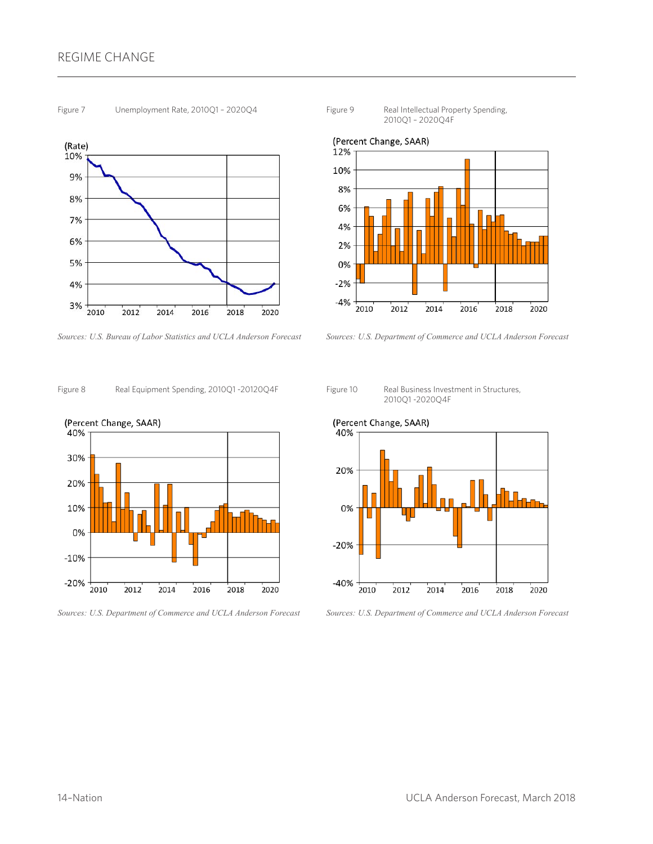## REGIME CHANGE





*Sources: U.S. Bureau of Labor Statistics and UCLA Anderson Forecast*







*Sources: U.S. Department of Commerce and UCLA Anderson Forecast*





*Sources: U.S. Department of Commerce and UCLA Anderson Forecast*







*Sources: U.S. Department of Commerce and UCLA Anderson Forecast*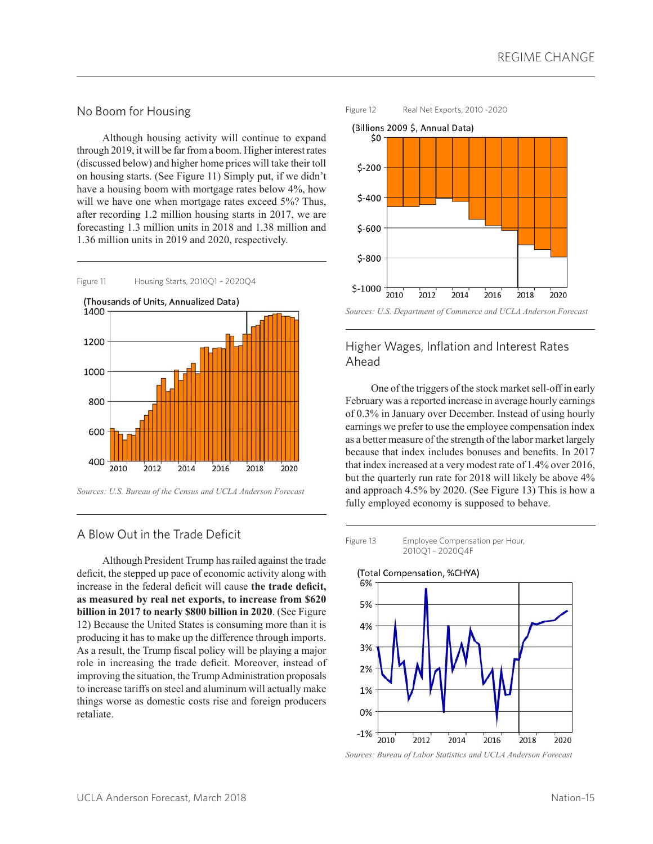#### No Boom for Housing

Although housing activity will continue to expand through 2019, it will be far from a boom. Higher interest rates (discussed below) and higher home prices will take their toll on housing starts. (See Figure 11) Simply put, if we didn't have a housing boom with mortgage rates below 4%, how will we have one when mortgage rates exceed 5%? Thus, after recording 1.2 million housing starts in 2017, we are forecasting 1.3 million units in 2018 and 1.38 million and 1.36 million units in 2019 and 2020, respectively.



*Sources: U.S. Bureau of the Census and UCLA Anderson Forecast*

#### A Blow Out in the Trade Deficit

Although President Trump has railed against the trade deficit, the stepped up pace of economic activity along with increase in the federal deficit will cause **the trade deficit, as measured by real net exports, to increase from \$620 billion in 2017 to nearly \$800 billion in 2020**. (See Figure 12) Because the United States is consuming more than it is producing it has to make up the difference through imports. As a result, the Trump fiscal policy will be playing a major role in increasing the trade deficit. Moreover, instead of improving the situation, the Trump Administration proposals to increase tariffs on steel and aluminum will actually make things worse as domestic costs rise and foreign producers retaliate.



## Higher Wages, Inflation and Interest Rates Ahead

One of the triggers of the stock market sell-off in early February was a reported increase in average hourly earnings of 0.3% in January over December. Instead of using hourly earnings we prefer to use the employee compensation index as a better measure of the strength of the labor market largely because that index includes bonuses and benefits. In 2017 that index increased at a very modest rate of 1.4% over 2016, but the quarterly run rate for 2018 will likely be above 4% and approach 4.5% by 2020. (See Figure 13) This is how a fully employed economy is supposed to behave.





*Sources: Bureau of Labor Statistics and UCLA Anderson Forecast*